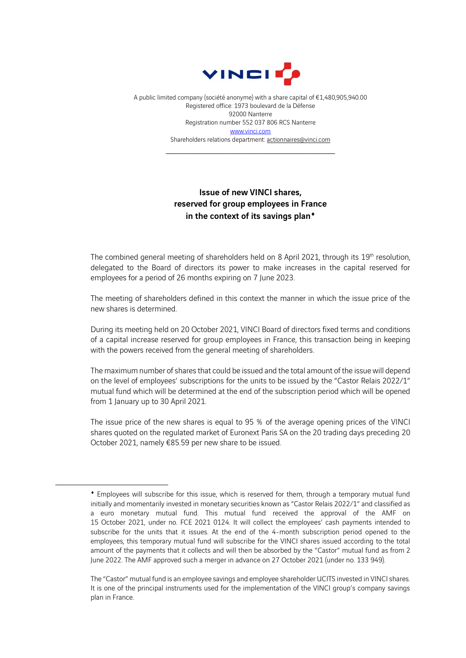

A public limited company (société anonyme) with a share capital of €1,480,905,940.00 Registered office: 1973 boulevard de la Défense 92000 Nanterre Registration number 552 037 806 RCS Nanterre [www.vinci.com](http://www.vinci.com/) Shareholders relations department: actionnaires@vinci.com

\_\_\_\_\_\_\_\_\_\_\_\_\_\_\_\_\_\_\_\_\_\_\_\_\_\_\_\_\_\_\_\_\_\_\_\_

## Issue of new VINCI shares, reserved for group employees in France in the context of its savings plan<sup>+</sup>

The combined general meeting of shareholders held on 8 April 2021, through its 19<sup>th</sup> resolution, delegated to the Board of directors its power to make increases in the capital reserved for employees for a period of 26 months expiring on 7 June 2023.

The meeting of shareholders defined in this context the manner in which the issue price of the new shares is determined.

During its meeting held on 20 October 2021, VINCI Board of directors fixed terms and conditions of a capital increase reserved for group employees in France, this transaction being in keeping with the powers received from the general meeting of shareholders.

The maximum number of shares that could be issued and the total amount of the issue will depend on the level of employees' subscriptions for the units to be issued by the "Castor Relais 2022/1" mutual fund which will be determined at the end of the subscription period which will be opened from 1 January up to 30 April 2021.

The issue price of the new shares is equal to 95 % of the average opening prices of the VINCI shares quoted on the regulated market of Euronext Paris SA on the 20 trading days preceding 20 October 2021, namely €85.59 per new share to be issued.

Employees will subscribe for this issue, which is reserved for them, through a temporary mutual fund initially and momentarily invested in monetary securities known as "Castor Relais 2022/1" and classified as a euro monetary mutual fund. This mutual fund received the approval of the AMF on 15 October 2021, under no. FCE 2021 0124. It will collect the employees' cash payments intended to subscribe for the units that it issues. At the end of the 4-month subscription period opened to the employees, this temporary mutual fund will subscribe for the VINCI shares issued according to the total amount of the payments that it collects and will then be absorbed by the "Castor" mutual fund as from 2 June 2022. The AMF approved such a merger in advance on 27 October 2021 (under no. 133 949).

The "Castor" mutual fund is an employee savings and employee shareholder UCITS invested in VINCI shares. It is one of the principal instruments used for the implementation of the VINCI group's company savings plan in France.